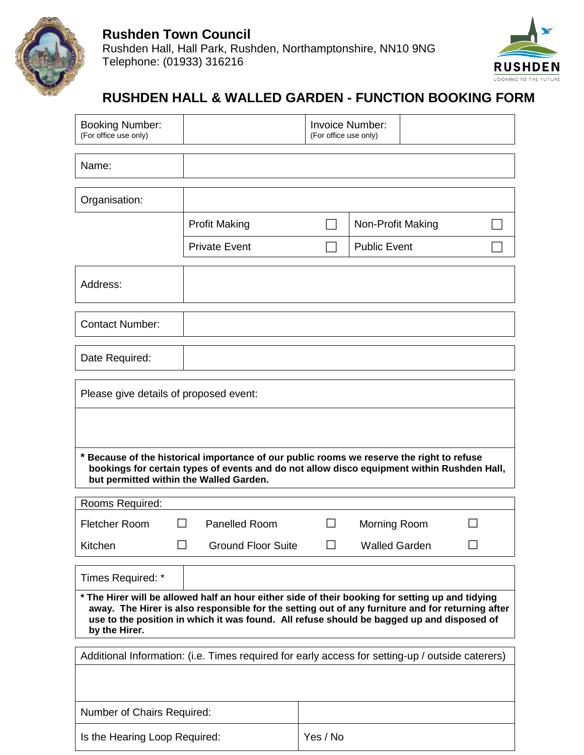



## **RUSHDEN HALL & WALLED GARDEN - FUNCTION BOOKING FORM**

| <b>Booking Number:</b><br>(For office use only)                                                                                                                                                                           |               | <b>Invoice Number:</b><br>(For office use only)                                                                                                                                         |        |                      |  |  |  |
|---------------------------------------------------------------------------------------------------------------------------------------------------------------------------------------------------------------------------|---------------|-----------------------------------------------------------------------------------------------------------------------------------------------------------------------------------------|--------|----------------------|--|--|--|
| Name:                                                                                                                                                                                                                     |               |                                                                                                                                                                                         |        |                      |  |  |  |
| Organisation:                                                                                                                                                                                                             |               |                                                                                                                                                                                         |        |                      |  |  |  |
|                                                                                                                                                                                                                           |               | <b>Profit Making</b>                                                                                                                                                                    |        | Non-Profit Making    |  |  |  |
|                                                                                                                                                                                                                           |               | <b>Private Event</b>                                                                                                                                                                    |        | <b>Public Event</b>  |  |  |  |
| Address:                                                                                                                                                                                                                  |               |                                                                                                                                                                                         |        |                      |  |  |  |
| <b>Contact Number:</b>                                                                                                                                                                                                    |               |                                                                                                                                                                                         |        |                      |  |  |  |
| Date Required:                                                                                                                                                                                                            |               |                                                                                                                                                                                         |        |                      |  |  |  |
| Please give details of proposed event:<br>but permitted within the Walled Garden.                                                                                                                                         |               | * Because of the historical importance of our public rooms we reserve the right to refuse<br>bookings for certain types of events and do not allow disco equipment within Rushden Hall, |        |                      |  |  |  |
| Rooms Required:                                                                                                                                                                                                           |               |                                                                                                                                                                                         |        |                      |  |  |  |
| <b>Fletcher Room</b>                                                                                                                                                                                                      | <b>The Co</b> | Panelled Room                                                                                                                                                                           | $\Box$ | Morning Room         |  |  |  |
| Kitchen                                                                                                                                                                                                                   |               | <b>Ground Floor Suite</b>                                                                                                                                                               |        | <b>Walled Garden</b> |  |  |  |
| Times Required: *<br>* The Hirer will be allowed half an hour either side of their booking for setting up and tidying<br>away. The Hirer is also responsible for the setting out of any furniture and for returning after |               |                                                                                                                                                                                         |        |                      |  |  |  |
| by the Hirer.                                                                                                                                                                                                             |               | use to the position in which it was found. All refuse should be bagged up and disposed of                                                                                               |        |                      |  |  |  |
|                                                                                                                                                                                                                           |               | Additional Information: (i.e. Times required for early access for setting-up / outside caterers)                                                                                        |        |                      |  |  |  |
| Number of Chairs Required:                                                                                                                                                                                                |               |                                                                                                                                                                                         |        |                      |  |  |  |
| Is the Hearing Loop Required:                                                                                                                                                                                             |               | Yes / No                                                                                                                                                                                |        |                      |  |  |  |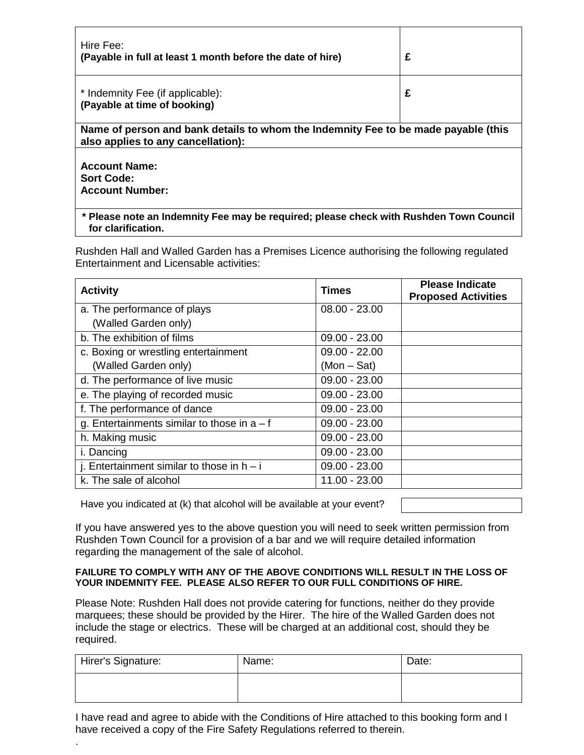| Hire Fee:<br>(Payable in full at least 1 month before the date of hire)                                                  | £ |  |  |  |  |
|--------------------------------------------------------------------------------------------------------------------------|---|--|--|--|--|
| * Indemnity Fee (if applicable):<br>(Payable at time of booking)                                                         | £ |  |  |  |  |
| Name of person and bank details to whom the Indemnity Fee to be made payable (this<br>also applies to any cancellation): |   |  |  |  |  |
| <b>Account Name:</b><br><b>Sort Code:</b><br><b>Account Number:</b>                                                      |   |  |  |  |  |
| * Please note an Indomnity Eoe may be required; please abook with Puchdan Town Council                                   |   |  |  |  |  |

**\* Please note an Indemnity Fee may be required; please check with Rushden Town Council for clarification.** 

Rushden Hall and Walled Garden has a Premises Licence authorising the following regulated Entertainment and Licensable activities:

| <b>Activity</b>                               | <b>Times</b>    | <b>Please Indicate</b><br><b>Proposed Activities</b> |
|-----------------------------------------------|-----------------|------------------------------------------------------|
| a. The performance of plays                   | $08.00 - 23.00$ |                                                      |
| (Walled Garden only)                          |                 |                                                      |
| b. The exhibition of films                    | $09.00 - 23.00$ |                                                      |
| c. Boxing or wrestling entertainment          | $09.00 - 22.00$ |                                                      |
| (Walled Garden only)                          | $(Mon - Sat)$   |                                                      |
| d. The performance of live music              | $09.00 - 23.00$ |                                                      |
| e. The playing of recorded music              | $09.00 - 23.00$ |                                                      |
| f. The performance of dance                   | $09.00 - 23.00$ |                                                      |
| g. Entertainments similar to those in $a - f$ | $09.00 - 23.00$ |                                                      |
| h. Making music                               | $09.00 - 23.00$ |                                                      |
| i. Dancing                                    | $09.00 - 23.00$ |                                                      |
| j. Entertainment similar to those in $h - i$  | $09.00 - 23.00$ |                                                      |
| k. The sale of alcohol                        | 11.00 - 23.00   |                                                      |

Have you indicated at (k) that alcohol will be available at your event?

.

If you have answered yes to the above question you will need to seek written permission from Rushden Town Council for a provision of a bar and we will require detailed information regarding the management of the sale of alcohol.

#### **FAILURE TO COMPLY WITH ANY OF THE ABOVE CONDITIONS WILL RESULT IN THE LOSS OF YOUR INDEMNITY FEE. PLEASE ALSO REFER TO OUR FULL CONDITIONS OF HIRE.**

Please Note: Rushden Hall does not provide catering for functions, neither do they provide marquees; these should be provided by the Hirer. The hire of the Walled Garden does not include the stage or electrics. These will be charged at an additional cost, should they be required.

| Hirer's Signature: | Name: | Date: |
|--------------------|-------|-------|
|                    |       |       |

I have read and agree to abide with the Conditions of Hire attached to this booking form and I have received a copy of the Fire Safety Regulations referred to therein.